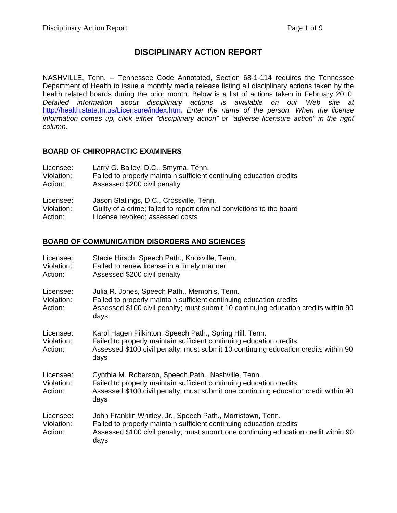# **DISCIPLINARY ACTION REPORT**

NASHVILLE, Tenn. -- Tennessee Code Annotated, Section 68-1-114 requires the Tennessee Department of Health to issue a monthly media release listing all disciplinary actions taken by the health related boards during the prior month. Below is a list of actions taken in February 2010. *Detailed information about disciplinary actions is available on our Web site at*  <http://health.state.tn.us/Licensure/index.htm>*. Enter the name of the person. When the license information comes up, click either "disciplinary action" or "adverse licensure action" in the right column.* 

#### **BOARD OF CHIROPRACTIC EXAMINERS**

| Licensee:  | Larry G. Bailey, D.C., Smyrna, Tenn.                                  |
|------------|-----------------------------------------------------------------------|
| Violation: | Failed to properly maintain sufficient continuing education credits   |
| Action:    | Assessed \$200 civil penalty                                          |
| Licensee:  | Jason Stallings, D.C., Crossville, Tenn.                              |
| Violation: | Guilty of a crime; failed to report criminal convictions to the board |
| Action:    | License revoked; assessed costs                                       |

#### **BOARD OF COMMUNICATION DISORDERS AND SCIENCES**

| Licensee:<br>Violation:<br>Action: | Stacie Hirsch, Speech Path., Knoxville, Tenn.<br>Failed to renew license in a timely manner<br>Assessed \$200 civil penalty                                                                                                       |
|------------------------------------|-----------------------------------------------------------------------------------------------------------------------------------------------------------------------------------------------------------------------------------|
| Licensee:<br>Violation:<br>Action: | Julia R. Jones, Speech Path., Memphis, Tenn.<br>Failed to properly maintain sufficient continuing education credits<br>Assessed \$100 civil penalty; must submit 10 continuing education credits within 90<br>days                |
| Licensee:<br>Violation:<br>Action: | Karol Hagen Pilkinton, Speech Path., Spring Hill, Tenn.<br>Failed to properly maintain sufficient continuing education credits<br>Assessed \$100 civil penalty; must submit 10 continuing education credits within 90<br>days     |
| Licensee:<br>Violation:<br>Action: | Cynthia M. Roberson, Speech Path., Nashville, Tenn.<br>Failed to properly maintain sufficient continuing education credits<br>Assessed \$100 civil penalty; must submit one continuing education credit within 90<br>days         |
| Licensee:<br>Violation:<br>Action: | John Franklin Whitley, Jr., Speech Path., Morristown, Tenn.<br>Failed to properly maintain sufficient continuing education credits<br>Assessed \$100 civil penalty; must submit one continuing education credit within 90<br>days |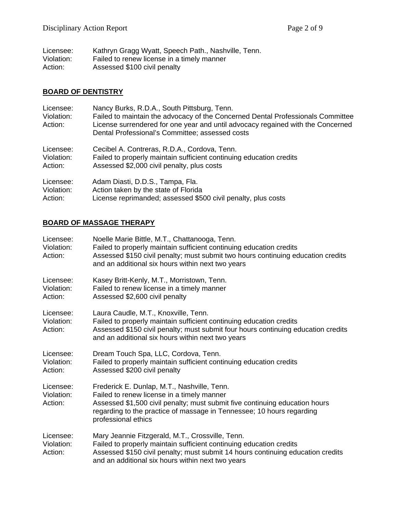| Licensee:  | Kathryn Gragg Wyatt, Speech Path., Nashville, Tenn. |
|------------|-----------------------------------------------------|
| Violation: | Failed to renew license in a timely manner          |
| Action:    | Assessed \$100 civil penalty                        |

## **BOARD OF DENTISTRY**

| Licensee:<br>Violation:<br>Action: | Nancy Burks, R.D.A., South Pittsburg, Tenn.<br>Failed to maintain the advocacy of the Concerned Dental Professionals Committee<br>License surrendered for one year and until advocacy regained with the Concerned<br>Dental Professional's Committee; assessed costs |
|------------------------------------|----------------------------------------------------------------------------------------------------------------------------------------------------------------------------------------------------------------------------------------------------------------------|
| Licensee:                          | Cecibel A. Contreras, R.D.A., Cordova, Tenn.                                                                                                                                                                                                                         |
| Violation:                         | Failed to properly maintain sufficient continuing education credits                                                                                                                                                                                                  |
| Action:                            | Assessed \$2,000 civil penalty, plus costs                                                                                                                                                                                                                           |
| Licensee:                          | Adam Diasti, D.D.S., Tampa, Fla.                                                                                                                                                                                                                                     |
| Violation:                         | Action taken by the state of Florida                                                                                                                                                                                                                                 |
| Action:                            | License reprimanded; assessed \$500 civil penalty, plus costs                                                                                                                                                                                                        |

# **BOARD OF MASSAGE THERAPY**

| Licensee:<br>Violation:<br>Action: | Noelle Marie Bittle, M.T., Chattanooga, Tenn.<br>Failed to properly maintain sufficient continuing education credits<br>Assessed \$150 civil penalty; must submit two hours continuing education credits<br>and an additional six hours within next two years            |
|------------------------------------|--------------------------------------------------------------------------------------------------------------------------------------------------------------------------------------------------------------------------------------------------------------------------|
| Licensee:<br>Violation:<br>Action: | Kasey Britt-Kenly, M.T., Morristown, Tenn.<br>Failed to renew license in a timely manner<br>Assessed \$2,600 civil penalty                                                                                                                                               |
| Licensee:<br>Violation:<br>Action: | Laura Caudle, M.T., Knoxville, Tenn.<br>Failed to properly maintain sufficient continuing education credits<br>Assessed \$150 civil penalty; must submit four hours continuing education credits<br>and an additional six hours within next two years                    |
| Licensee:<br>Violation:<br>Action: | Dream Touch Spa, LLC, Cordova, Tenn.<br>Failed to properly maintain sufficient continuing education credits<br>Assessed \$200 civil penalty                                                                                                                              |
| Licensee:<br>Violation:<br>Action: | Frederick E. Dunlap, M.T., Nashville, Tenn.<br>Failed to renew license in a timely manner<br>Assessed \$1,500 civil penalty; must submit five continuing education hours<br>regarding to the practice of massage in Tennessee; 10 hours regarding<br>professional ethics |
| Licensee:<br>Violation:<br>Action: | Mary Jeannie Fitzgerald, M.T., Crossville, Tenn.<br>Failed to properly maintain sufficient continuing education credits<br>Assessed \$150 civil penalty; must submit 14 hours continuing education credits<br>and an additional six hours within next two years          |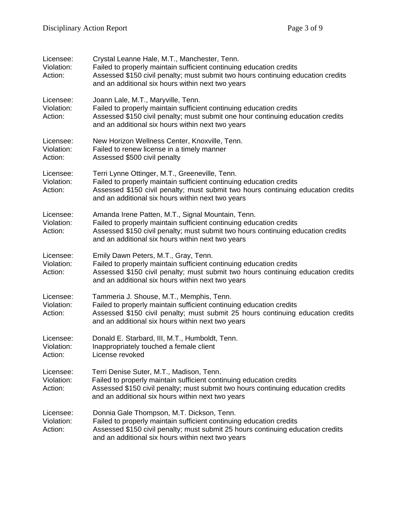| Licensee:<br>Violation:<br>Action: | Crystal Leanne Hale, M.T., Manchester, Tenn.<br>Failed to properly maintain sufficient continuing education credits<br>Assessed \$150 civil penalty; must submit two hours continuing education credits<br>and an additional six hours within next two years      |
|------------------------------------|-------------------------------------------------------------------------------------------------------------------------------------------------------------------------------------------------------------------------------------------------------------------|
| Licensee:<br>Violation:<br>Action: | Joann Lale, M.T., Maryville, Tenn.<br>Failed to properly maintain sufficient continuing education credits<br>Assessed \$150 civil penalty; must submit one hour continuing education credits<br>and an additional six hours within next two years                 |
| Licensee:<br>Violation:<br>Action: | New Horizon Wellness Center, Knoxville, Tenn.<br>Failed to renew license in a timely manner<br>Assessed \$500 civil penalty                                                                                                                                       |
| Licensee:<br>Violation:<br>Action: | Terri Lynne Ottinger, M.T., Greeneville, Tenn.<br>Failed to properly maintain sufficient continuing education credits<br>Assessed \$150 civil penalty; must submit two hours continuing education credits<br>and an additional six hours within next two years    |
| Licensee:<br>Violation:<br>Action: | Amanda Irene Patten, M.T., Signal Mountain, Tenn.<br>Failed to properly maintain sufficient continuing education credits<br>Assessed \$150 civil penalty; must submit two hours continuing education credits<br>and an additional six hours within next two years |
| Licensee:<br>Violation:<br>Action: | Emily Dawn Peters, M.T., Gray, Tenn.<br>Failed to properly maintain sufficient continuing education credits<br>Assessed \$150 civil penalty; must submit two hours continuing education credits<br>and an additional six hours within next two years              |
| Licensee:<br>Violation:<br>Action: | Tammeria J. Shouse, M.T., Memphis, Tenn.<br>Failed to properly maintain sufficient continuing education credits<br>Assessed \$150 civil penalty; must submit 25 hours continuing education credits<br>and an additional six hours within next two years           |
| Licensee:<br>Violation:<br>Action: | Donald E. Starbard, III, M.T., Humboldt, Tenn.<br>Inappropriately touched a female client<br>License revoked                                                                                                                                                      |
| Licensee:<br>Violation:<br>Action: | Terri Denise Suter, M.T., Madison, Tenn.<br>Failed to properly maintain sufficient continuing education credits<br>Assessed \$150 civil penalty; must submit two hours continuing education credits<br>and an additional six hours within next two years          |
| Licensee:<br>Violation:<br>Action: | Donnia Gale Thompson, M.T. Dickson, Tenn.<br>Failed to properly maintain sufficient continuing education credits<br>Assessed \$150 civil penalty; must submit 25 hours continuing education credits<br>and an additional six hours within next two years          |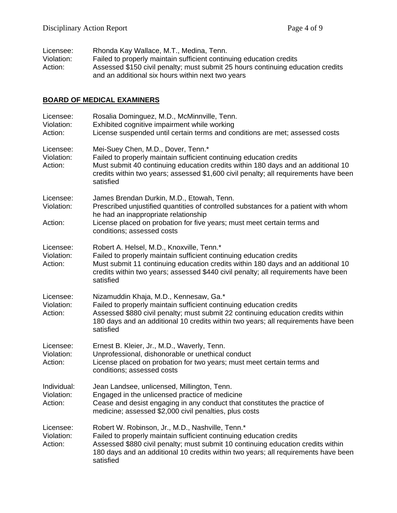| Licensee:  | Rhonda Kay Wallace, M.T., Medina, Tenn.                                                                                              |
|------------|--------------------------------------------------------------------------------------------------------------------------------------|
| Violation: | Failed to properly maintain sufficient continuing education credits                                                                  |
| Action:    | Assessed \$150 civil penalty; must submit 25 hours continuing education credits<br>and an additional six hours within next two years |

### **BOARD OF MEDICAL EXAMINERS**

| Licensee:<br>Violation:<br>Action:   | Rosalia Dominguez, M.D., McMinnville, Tenn.<br>Exhibited cognitive impairment while working<br>License suspended until certain terms and conditions are met; assessed costs                                                                                                                                    |
|--------------------------------------|----------------------------------------------------------------------------------------------------------------------------------------------------------------------------------------------------------------------------------------------------------------------------------------------------------------|
| Licensee:<br>Violation:<br>Action:   | Mei-Suey Chen, M.D., Dover, Tenn.*<br>Failed to properly maintain sufficient continuing education credits<br>Must submit 40 continuing education credits within 180 days and an additional 10<br>credits within two years; assessed \$1,600 civil penalty; all requirements have been<br>satisfied             |
| Licensee:<br>Violation:<br>Action:   | James Brendan Durkin, M.D., Etowah, Tenn.<br>Prescribed unjustified quantities of controlled substances for a patient with whom<br>he had an inappropriate relationship<br>License placed on probation for five years; must meet certain terms and<br>conditions; assessed costs                               |
| Licensee:<br>Violation:<br>Action:   | Robert A. Helsel, M.D., Knoxville, Tenn.*<br>Failed to properly maintain sufficient continuing education credits<br>Must submit 11 continuing education credits within 180 days and an additional 10<br>credits within two years; assessed \$440 civil penalty; all requirements have been<br>satisfied        |
| Licensee:<br>Violation:<br>Action:   | Nizamuddin Khaja, M.D., Kennesaw, Ga.*<br>Failed to properly maintain sufficient continuing education credits<br>Assessed \$880 civil penalty; must submit 22 continuing education credits within<br>180 days and an additional 10 credits within two years; all requirements have been<br>satisfied           |
| Licensee:<br>Violation:<br>Action:   | Ernest B. Kleier, Jr., M.D., Waverly, Tenn.<br>Unprofessional, dishonorable or unethical conduct<br>License placed on probation for two years; must meet certain terms and<br>conditions; assessed costs                                                                                                       |
| Individual:<br>Violation:<br>Action: | Jean Landsee, unlicensed, Millington, Tenn.<br>Engaged in the unlicensed practice of medicine<br>Cease and desist engaging in any conduct that constitutes the practice of<br>medicine; assessed \$2,000 civil penalties, plus costs                                                                           |
| Licensee:<br>Violation:<br>Action:   | Robert W. Robinson, Jr., M.D., Nashville, Tenn.*<br>Failed to properly maintain sufficient continuing education credits<br>Assessed \$880 civil penalty; must submit 10 continuing education credits within<br>180 days and an additional 10 credits within two years; all requirements have been<br>satisfied |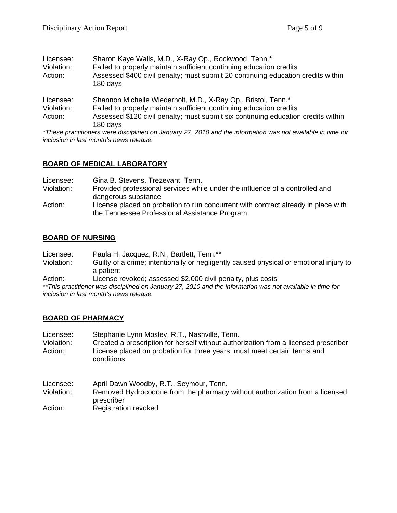| Licensee:<br>Violation:<br>Action: | Sharon Kaye Walls, M.D., X-Ray Op., Rockwood, Tenn.*<br>Failed to properly maintain sufficient continuing education credits<br>Assessed \$400 civil penalty; must submit 20 continuing education credits within<br>180 days |
|------------------------------------|-----------------------------------------------------------------------------------------------------------------------------------------------------------------------------------------------------------------------------|
| Licensee:                          | Shannon Michelle Wiederholt, M.D., X-Ray Op., Bristol, Tenn.*                                                                                                                                                               |
| Violation:                         | Failed to properly maintain sufficient continuing education credits                                                                                                                                                         |
| Action:                            | Assessed \$120 civil penalty; must submit six continuing education credits within                                                                                                                                           |
|                                    | 180 days                                                                                                                                                                                                                    |
|                                    | *These proofitioners were disciplined on January 27, 2010 and the information was not available in time for                                                                                                                 |

*\*These practitioners were disciplined on January 27, 2010 and the information was not available in time for inclusion in last month's news release.* 

#### **BOARD OF MEDICAL LABORATORY**

| Licensee:  | Gina B. Stevens, Trezevant, Tenn.                                                 |
|------------|-----------------------------------------------------------------------------------|
| Violation: | Provided professional services while under the influence of a controlled and      |
|            | dangerous substance                                                               |
| Action:    | License placed on probation to run concurrent with contract already in place with |
|            | the Tennessee Professional Assistance Program                                     |

### **BOARD OF NURSING**

| Licensee: | Paula H. Jacquez, R.N., Bartlett, Tenn.** |
|-----------|-------------------------------------------|
|-----------|-------------------------------------------|

Violation: Guilty of a crime; intentionally or negligently caused physical or emotional injury to a patient

Action: License revoked; assessed \$2,000 civil penalty, plus costs

*\*\*This practitioner was disciplined on January 27, 2010 and the information was not available in time for inclusion in last month's news release.* 

#### **BOARD OF PHARMACY**

| Licensee:<br>Violation:<br>Action: | Stephanie Lynn Mosley, R.T., Nashville, Tenn.<br>Created a prescription for herself without authorization from a licensed prescriber<br>License placed on probation for three years; must meet certain terms and<br>conditions |
|------------------------------------|--------------------------------------------------------------------------------------------------------------------------------------------------------------------------------------------------------------------------------|
| Licensee:                          | April Dawn Woodby, R.T., Seymour, Tenn.                                                                                                                                                                                        |
| Violation:                         | Removed Hydrocodone from the pharmacy without authorization from a licensed<br>prescriber                                                                                                                                      |
| Action:                            | <b>Registration revoked</b>                                                                                                                                                                                                    |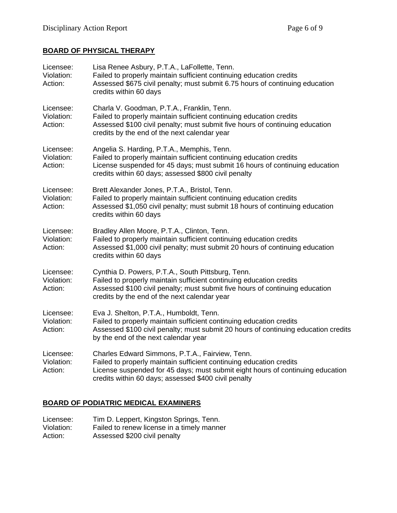## **BOARD OF PHYSICAL THERAPY**

| Licensee:<br>Violation:<br>Action: | Lisa Renee Asbury, P.T.A., LaFollette, Tenn.<br>Failed to properly maintain sufficient continuing education credits<br>Assessed \$675 civil penalty; must submit 6.75 hours of continuing education<br>credits within 60 days                                    |
|------------------------------------|------------------------------------------------------------------------------------------------------------------------------------------------------------------------------------------------------------------------------------------------------------------|
| Licensee:<br>Violation:<br>Action: | Charla V. Goodman, P.T.A., Franklin, Tenn.<br>Failed to properly maintain sufficient continuing education credits<br>Assessed \$100 civil penalty; must submit five hours of continuing education<br>credits by the end of the next calendar year                |
| Licensee:<br>Violation:<br>Action: | Angelia S. Harding, P.T.A., Memphis, Tenn.<br>Failed to properly maintain sufficient continuing education credits<br>License suspended for 45 days; must submit 16 hours of continuing education<br>credits within 60 days; assessed \$800 civil penalty         |
| Licensee:<br>Violation:<br>Action: | Brett Alexander Jones, P.T.A., Bristol, Tenn.<br>Failed to properly maintain sufficient continuing education credits<br>Assessed \$1,050 civil penalty; must submit 18 hours of continuing education<br>credits within 60 days                                   |
| Licensee:<br>Violation:<br>Action: | Bradley Allen Moore, P.T.A., Clinton, Tenn.<br>Failed to properly maintain sufficient continuing education credits<br>Assessed \$1,000 civil penalty; must submit 20 hours of continuing education<br>credits within 60 days                                     |
| Licensee:<br>Violation:<br>Action: | Cynthia D. Powers, P.T.A., South Pittsburg, Tenn.<br>Failed to properly maintain sufficient continuing education credits<br>Assessed \$100 civil penalty; must submit five hours of continuing education<br>credits by the end of the next calendar year         |
| Licensee:<br>Violation:<br>Action: | Eva J. Shelton, P.T.A., Humboldt, Tenn.<br>Failed to properly maintain sufficient continuing education credits<br>Assessed \$100 civil penalty; must submit 20 hours of continuing education credits<br>by the end of the next calendar year                     |
| Licensee:<br>Violation:<br>Action: | Charles Edward Simmons, P.T.A., Fairview, Tenn.<br>Failed to properly maintain sufficient continuing education credits<br>License suspended for 45 days; must submit eight hours of continuing education<br>credits within 60 days; assessed \$400 civil penalty |

## **BOARD OF PODIATRIC MEDICAL EXAMINERS**

| Licensee:  | Tim D. Leppert, Kingston Springs, Tenn.    |
|------------|--------------------------------------------|
| Violation: | Failed to renew license in a timely manner |
| Action:    | Assessed \$200 civil penalty               |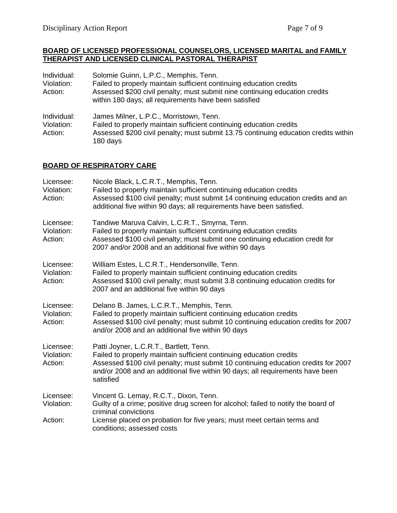#### **BOARD OF LICENSED PROFESSIONAL COUNSELORS, LICENSED MARITAL and FAMILY THERAPIST AND LICENSED CLINICAL PASTORAL THERAPIST**

| Individual:<br>Violation:<br>Action: | Solomie Guinn, L.P.C., Memphis, Tenn.<br>Failed to properly maintain sufficient continuing education credits<br>Assessed \$200 civil penalty; must submit nine continuing education credits<br>within 180 days; all requirements have been satisfied |
|--------------------------------------|------------------------------------------------------------------------------------------------------------------------------------------------------------------------------------------------------------------------------------------------------|
| Individual:<br>Violation:<br>Action: | James Milner, L.P.C., Morristown, Tenn.<br>Failed to properly maintain sufficient continuing education credits<br>Assessed \$200 civil penalty; must submit 13.75 continuing education credits within<br>180 days                                    |

### **BOARD OF RESPIRATORY CARE**

| Licensee:<br>Violation:<br>Action: | Nicole Black, L.C.R.T., Memphis, Tenn.<br>Failed to properly maintain sufficient continuing education credits<br>Assessed \$100 civil penalty; must submit 14 continuing education credits and an<br>additional five within 90 days; all requirements have been satisfied.                         |
|------------------------------------|----------------------------------------------------------------------------------------------------------------------------------------------------------------------------------------------------------------------------------------------------------------------------------------------------|
| Licensee:<br>Violation:<br>Action: | Tandiwe Maruva Calvin, L.C.R.T., Smyrna, Tenn.<br>Failed to properly maintain sufficient continuing education credits<br>Assessed \$100 civil penalty; must submit one continuing education credit for<br>2007 and/or 2008 and an additional five within 90 days                                   |
| Licensee:<br>Violation:<br>Action: | William Estes, L.C.R.T., Hendersonville, Tenn.<br>Failed to properly maintain sufficient continuing education credits<br>Assessed \$100 civil penalty; must submit 3.8 continuing education credits for<br>2007 and an additional five within 90 days                                              |
| Licensee:<br>Violation:<br>Action: | Delano B. James, L.C.R.T., Memphis, Tenn.<br>Failed to properly maintain sufficient continuing education credits<br>Assessed \$100 civil penalty; must submit 10 continuing education credits for 2007<br>and/or 2008 and an additional five within 90 days                                        |
| Licensee:<br>Violation:<br>Action: | Patti Joyner, L.C.R.T., Bartlett, Tenn.<br>Failed to properly maintain sufficient continuing education credits<br>Assessed \$100 civil penalty; must submit 10 continuing education credits for 2007<br>and/or 2008 and an additional five within 90 days; all requirements have been<br>satisfied |
| Licensee:<br>Violation:<br>Action: | Vincent G. Lemay, R.C.T., Dixon, Tenn.<br>Guilty of a crime; positive drug screen for alcohol; failed to notify the board of<br>criminal convictions<br>License placed on probation for five years; must meet certain terms and                                                                    |
|                                    | conditions; assessed costs                                                                                                                                                                                                                                                                         |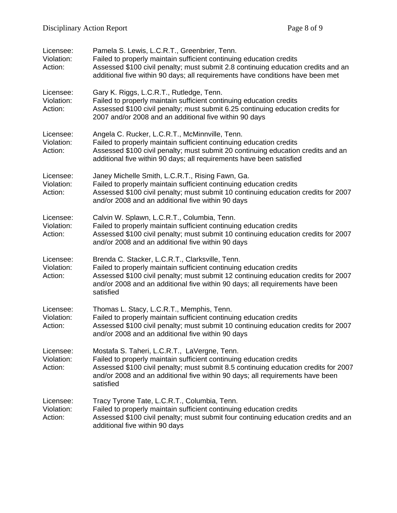| Licensee:<br>Violation:<br>Action: | Pamela S. Lewis, L.C.R.T., Greenbrier, Tenn.<br>Failed to properly maintain sufficient continuing education credits<br>Assessed \$100 civil penalty; must submit 2.8 continuing education credits and an<br>additional five within 90 days; all requirements have conditions have been met                 |
|------------------------------------|------------------------------------------------------------------------------------------------------------------------------------------------------------------------------------------------------------------------------------------------------------------------------------------------------------|
| Licensee:<br>Violation:<br>Action: | Gary K. Riggs, L.C.R.T., Rutledge, Tenn.<br>Failed to properly maintain sufficient continuing education credits<br>Assessed \$100 civil penalty; must submit 6.25 continuing education credits for<br>2007 and/or 2008 and an additional five within 90 days                                               |
| Licensee:<br>Violation:<br>Action: | Angela C. Rucker, L.C.R.T., McMinnville, Tenn.<br>Failed to properly maintain sufficient continuing education credits<br>Assessed \$100 civil penalty; must submit 20 continuing education credits and an<br>additional five within 90 days; all requirements have been satisfied                          |
| Licensee:<br>Violation:<br>Action: | Janey Michelle Smith, L.C.R.T., Rising Fawn, Ga.<br>Failed to properly maintain sufficient continuing education credits<br>Assessed \$100 civil penalty; must submit 10 continuing education credits for 2007<br>and/or 2008 and an additional five within 90 days                                         |
| Licensee:<br>Violation:<br>Action: | Calvin W. Splawn, L.C.R.T., Columbia, Tenn.<br>Failed to properly maintain sufficient continuing education credits<br>Assessed \$100 civil penalty; must submit 10 continuing education credits for 2007<br>and/or 2008 and an additional five within 90 days                                              |
| Licensee:<br>Violation:<br>Action: | Brenda C. Stacker, L.C.R.T., Clarksville, Tenn.<br>Failed to properly maintain sufficient continuing education credits<br>Assessed \$100 civil penalty; must submit 12 continuing education credits for 2007<br>and/or 2008 and an additional five within 90 days; all requirements have been<br>satisfied |
| Licensee:<br>Violation:<br>Action: | Thomas L. Stacy, L.C.R.T., Memphis, Tenn.<br>Failed to properly maintain sufficient continuing education credits<br>Assessed \$100 civil penalty; must submit 10 continuing education credits for 2007<br>and/or 2008 and an additional five within 90 days                                                |
| Licensee:<br>Violation:<br>Action: | Mostafa S. Taheri, L.C.R.T., LaVergne, Tenn.<br>Failed to properly maintain sufficient continuing education credits<br>Assessed \$100 civil penalty; must submit 8.5 continuing education credits for 2007<br>and/or 2008 and an additional five within 90 days; all requirements have been<br>satisfied   |
| Licensee:<br>Violation:<br>Action: | Tracy Tyrone Tate, L.C.R.T., Columbia, Tenn.<br>Failed to properly maintain sufficient continuing education credits<br>Assessed \$100 civil penalty; must submit four continuing education credits and an<br>additional five within 90 days                                                                |